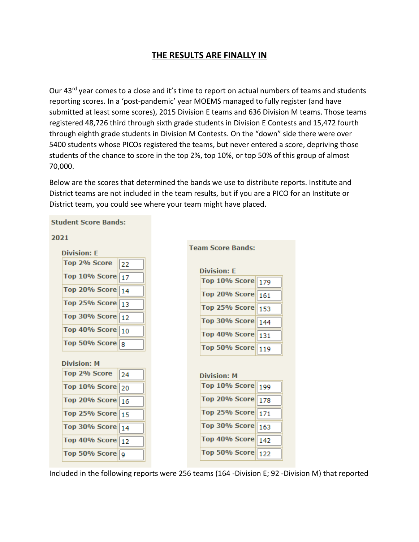## **THE RESULTS ARE FINALLY IN**

Our 43<sup>rd</sup> year comes to a close and it's time to report on actual numbers of teams and students reporting scores. In a 'post-pandemic' year MOEMS managed to fully register (and have submitted at least some scores), 2015 Division E teams and 636 Division M teams. Those teams registered 48,726 third through sixth grade students in Division E Contests and 15,472 fourth through eighth grade students in Division M Contests. On the "down" side there were over 5400 students whose PICOs registered the teams, but never entered a score, depriving those students of the chance to score in the top 2%, top 10%, or top 50% of this group of almost 70,000.

Below are the scores that determined the bands we use to distribute reports. Institute and District teams are not included in the team results, but if you are a PICO for an Institute or District team, you could see where your team might have placed.



**Student Score Bands:** 

Included in the following reports were 256 teams (164 -Division E; 92 -Division M) that reported